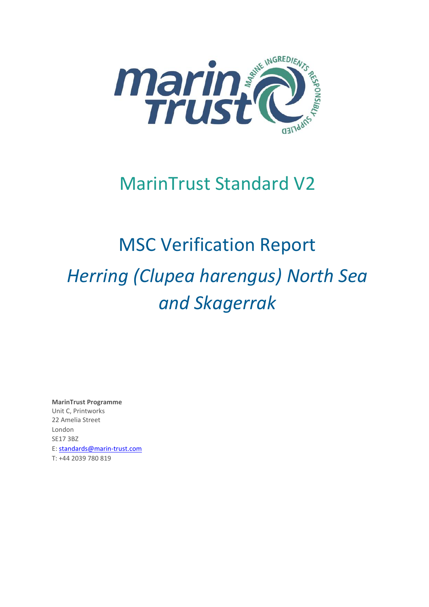

## MarinTrust Standard V2

# MSC Verification Report *Herring (Clupea harengus) North Sea and Skagerrak*

**MarinTrust Programme** Unit C, Printworks 22 Amelia Street London SE17 3BZ E: standards@marin-trust.com T: +44 2039 780 819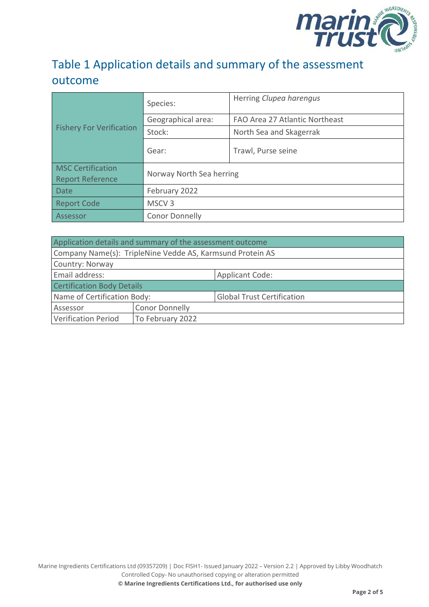

## Table 1 Application details and summary of the assessment outcome

| <b>Fishery For Verification</b>                     | Species:                 | Herring Clupea harengus        |  |
|-----------------------------------------------------|--------------------------|--------------------------------|--|
|                                                     | Geographical area:       | FAO Area 27 Atlantic Northeast |  |
|                                                     | Stock:                   | North Sea and Skagerrak        |  |
|                                                     | Gear:                    | Trawl, Purse seine             |  |
| <b>MSC Certification</b><br><b>Report Reference</b> | Norway North Sea herring |                                |  |
| Date                                                | February 2022            |                                |  |
| <b>Report Code</b>                                  | MSCV <sub>3</sub>        |                                |  |
| Assessor                                            | <b>Conor Donnelly</b>    |                                |  |

| Application details and summary of the assessment outcome |                       |                                   |  |
|-----------------------------------------------------------|-----------------------|-----------------------------------|--|
| Company Name(s): TripleNine Vedde AS, Karmsund Protein AS |                       |                                   |  |
| Country: Norway                                           |                       |                                   |  |
| Email address:                                            |                       | <b>Applicant Code:</b>            |  |
| <b>Certification Body Details</b>                         |                       |                                   |  |
| Name of Certification Body:                               |                       | <b>Global Trust Certification</b> |  |
| Assessor                                                  | <b>Conor Donnelly</b> |                                   |  |
| <b>Verification Period</b>                                | To February 2022      |                                   |  |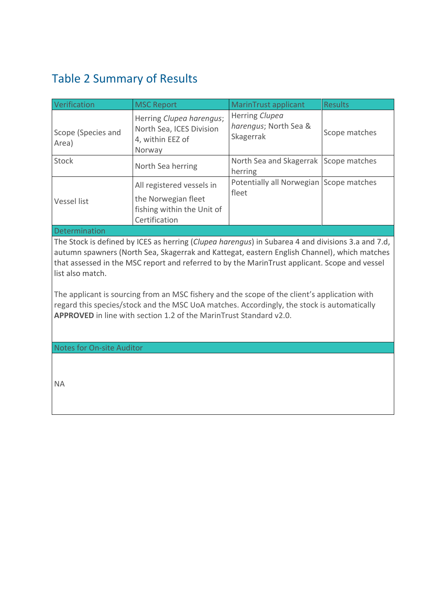## <span id="page-2-0"></span>Table 2 Summary of Results

| Verification                | <b>MSC Report</b>                                                                               | MarinTrust applicant                                 | <b>Results</b> |
|-----------------------------|-------------------------------------------------------------------------------------------------|------------------------------------------------------|----------------|
| Scope (Species and<br>Area) | Herring Clupea harengus;<br>North Sea, ICES Division<br>4, within EEZ of<br>Norway              | Herring Clupea<br>harengus; North Sea &<br>Skagerrak | Scope matches  |
| <b>Stock</b>                | North Sea herring                                                                               | North Sea and Skagerrak Scope matches<br>herring     |                |
| <b>Vessel list</b>          | All registered vessels in<br>the Norwegian fleet<br>fishing within the Unit of<br>Certification | Potentially all Norwegian Scope matches<br>fleet     |                |

#### Determination

The Stock is defined by ICES as herring (*Clupea harengus*) in Subarea 4 and divisions 3.a and 7.d, autumn spawners (North Sea, Skagerrak and Kattegat, eastern English Channel), which matches that assessed in the MSC report and referred to by the MarinTrust applicant. Scope and vessel list also match.

The applicant is sourcing from an MSC fishery and the scope of the client's application with regard this species/stock and the MSC UoA matches. Accordingly, the stock is automatically **APPROVED** in line with section 1.2 of the MarinTrust Standard v2.0.

Notes for On-site Auditor

NA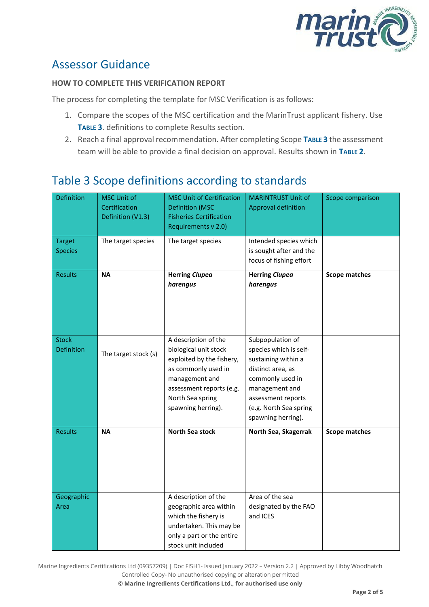

### Assessor Guidance

#### **HOW TO COMPLETE THIS VERIFICATION REPORT**

The process for completing the template for MSC Verification is as follows:

- 1. Compare the scopes of the MSC certification and the MarinTrust applicant fishery. Use **T[ABLE](#page-3-0) 3**. definitions to complete Results section.
- 2. Reach a final approval recommendation. After completing Scope **T[ABLE](#page-3-0) 3** the assessment team will be able to provide a final decision on approval. Results shown in **T[ABLE](#page-2-0) 2**.

## <span id="page-3-0"></span>Table 3 Scope definitions according to standards

| <b>Definition</b>               | <b>MSC Unit of</b><br>Certification<br>Definition (V1.3) | <b>MSC Unit of Certification</b><br><b>Definition (MSC</b><br><b>Fisheries Certification</b><br>Requirements v 2.0)                                                                       | <b>MARINTRUST Unit of</b><br><b>Approval definition</b>                                                                                                                                            | Scope comparison     |
|---------------------------------|----------------------------------------------------------|-------------------------------------------------------------------------------------------------------------------------------------------------------------------------------------------|----------------------------------------------------------------------------------------------------------------------------------------------------------------------------------------------------|----------------------|
| <b>Target</b><br><b>Species</b> | The target species                                       | The target species                                                                                                                                                                        | Intended species which<br>is sought after and the<br>focus of fishing effort                                                                                                                       |                      |
| <b>Results</b>                  | <b>NA</b>                                                | <b>Herring Clupea</b><br>harengus                                                                                                                                                         | <b>Herring Clupea</b><br>harengus                                                                                                                                                                  | <b>Scope matches</b> |
| <b>Stock</b><br>Definition      | The target stock (s)                                     | A description of the<br>biological unit stock<br>exploited by the fishery,<br>as commonly used in<br>management and<br>assessment reports (e.g.<br>North Sea spring<br>spawning herring). | Subpopulation of<br>species which is self-<br>sustaining within a<br>distinct area, as<br>commonly used in<br>management and<br>assessment reports<br>(e.g. North Sea spring<br>spawning herring). |                      |
| <b>Results</b>                  | <b>NA</b>                                                | North Sea stock                                                                                                                                                                           | North Sea, Skagerrak                                                                                                                                                                               | <b>Scope matches</b> |
| Geographic<br>Area              |                                                          | A description of the<br>geographic area within<br>which the fishery is<br>undertaken. This may be<br>only a part or the entire<br>stock unit included                                     | Area of the sea<br>designated by the FAO<br>and ICES                                                                                                                                               |                      |

Marine Ingredients Certifications Ltd (09357209) | Doc FISH1- Issued January 2022 – Version 2.2 | Approved by Libby Woodhatch Controlled Copy- No unauthorised copying or alteration permitted